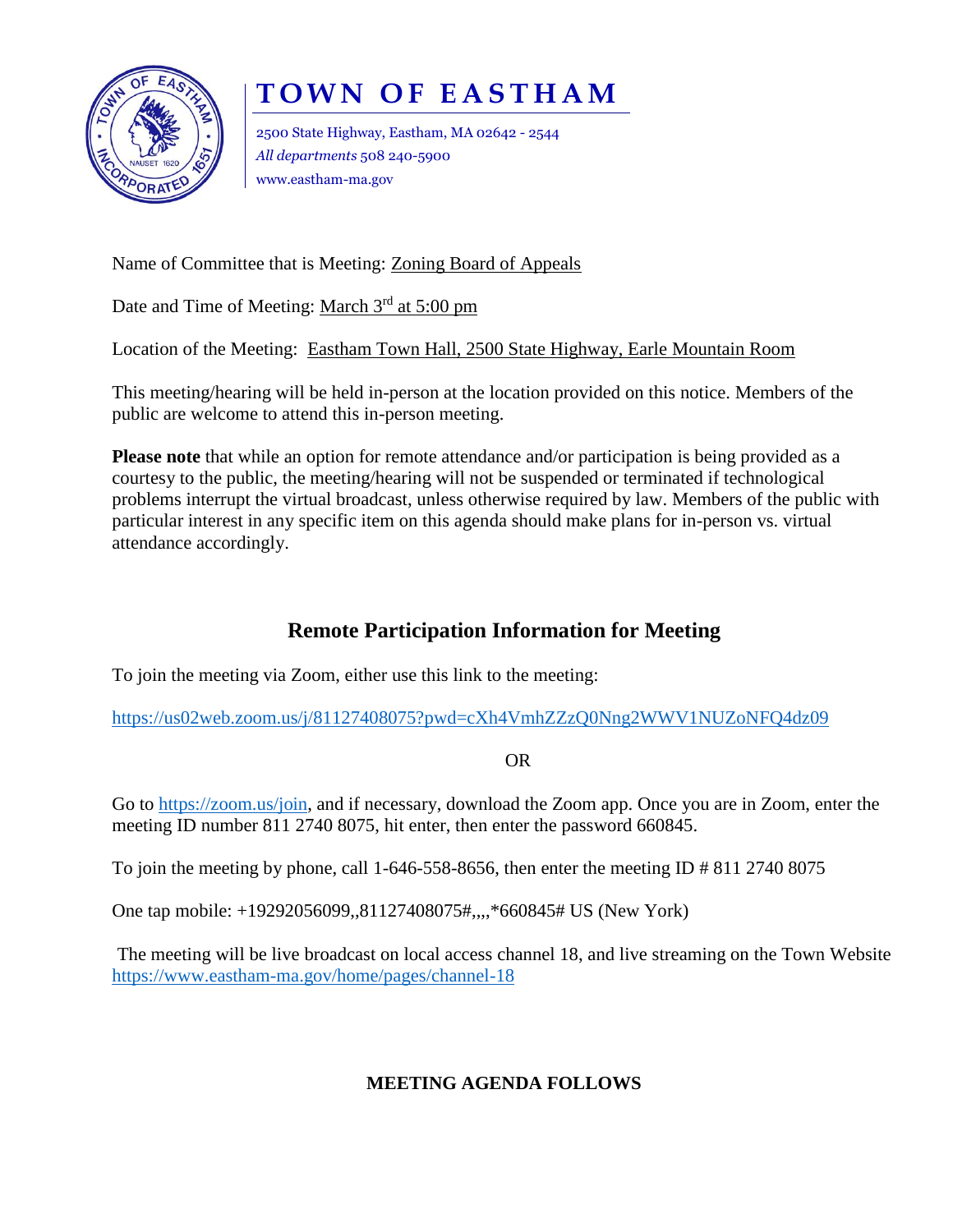

## **T O W N O F E A S T H A M**

2500 State Highway, Eastham, MA 02642 - 2544 *All departments* 508 240-5900 www.eastham-ma.gov

Name of Committee that is Meeting: Zoning Board of Appeals

Date and Time of Meeting: March 3<sup>rd</sup> at 5:00 pm

Location of the Meeting: Eastham Town Hall, 2500 State Highway, Earle Mountain Room

This meeting/hearing will be held in-person at the location provided on this notice. Members of the public are welcome to attend this in-person meeting.

**Please note** that while an option for remote attendance and/or participation is being provided as a courtesy to the public, the meeting/hearing will not be suspended or terminated if technological problems interrupt the virtual broadcast, unless otherwise required by law. Members of the public with particular interest in any specific item on this agenda should make plans for in-person vs. virtual attendance accordingly.

## **Remote Participation Information for Meeting**

To join the meeting via Zoom, either use this link to the meeting:

<https://us02web.zoom.us/j/81127408075?pwd=cXh4VmhZZzQ0Nng2WWV1NUZoNFQ4dz09>

OR

Go to [https://zoom.us/join,](https://zoom.us/join) and if necessary, download the Zoom app. Once you are in Zoom, enter the meeting ID number 811 2740 8075, hit enter, then enter the password 660845.

To join the meeting by phone, call 1-646-558-8656, then enter the meeting ID  $\#$  811 2740 8075

One tap mobile: +19292056099,,81127408075#,,,,\*660845# US (New York)

The meeting will be live broadcast on local access channel 18, and live streaming on the Town Website <https://www.eastham-ma.gov/home/pages/channel-18>

## **MEETING AGENDA FOLLOWS**